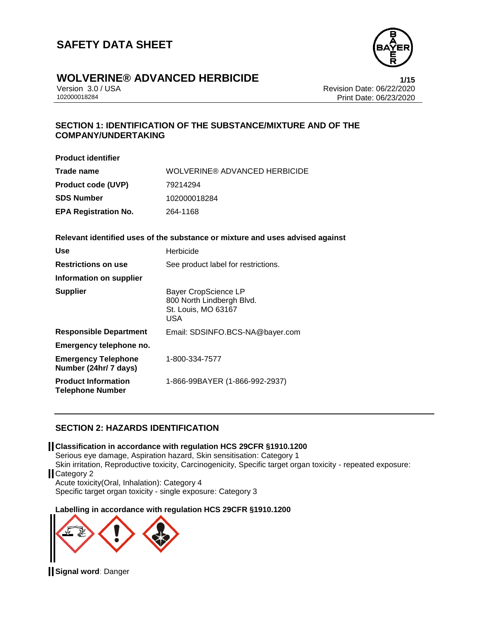

### **WOLVERINE® ADVANCED HERBICIDE 1/15**

Version 3.0 / USA Revision Date: 06/22/2020 Print Date: 06/23/2020

#### **SECTION 1: IDENTIFICATION OF THE SUBSTANCE/MIXTURE AND OF THE COMPANY/UNDERTAKING**

| <b>Product identifier</b>   |                               |
|-----------------------------|-------------------------------|
| Trade name                  | WOLVERINE® ADVANCED HERBICIDE |
| <b>Product code (UVP)</b>   | 79214294                      |
| SDS Number                  | 102000018284                  |
| <b>EPA Registration No.</b> | 264-1168                      |

#### **Relevant identified uses of the substance or mixture and uses advised against**

| <b>Use</b>                                            | Herbicide                                                                                     |
|-------------------------------------------------------|-----------------------------------------------------------------------------------------------|
| <b>Restrictions on use</b>                            | See product label for restrictions.                                                           |
| Information on supplier                               |                                                                                               |
| <b>Supplier</b>                                       | <b>Bayer CropScience LP</b><br>800 North Lindbergh Blvd.<br>St. Louis, MO 63167<br><b>USA</b> |
| <b>Responsible Department</b>                         | Email: SDSINFO.BCS-NA@bayer.com                                                               |
| Emergency telephone no.                               |                                                                                               |
| <b>Emergency Telephone</b><br>Number (24hr/ 7 days)   | 1-800-334-7577                                                                                |
| <b>Product Information</b><br><b>Telephone Number</b> | 1-866-99BAYER (1-866-992-2937)                                                                |

#### **SECTION 2: HAZARDS IDENTIFICATION**

#### **Classification in accordance with regulation HCS 29CFR §1910.1200**

Serious eye damage, Aspiration hazard, Skin sensitisation: Category 1 Skin irritation, Reproductive toxicity, Carcinogenicity, Specific target organ toxicity - repeated exposure: Category 2 Acute toxicity(Oral, Inhalation): Category 4

Specific target organ toxicity - single exposure: Category 3

#### **Labelling in accordance with regulation HCS 29CFR §1910.1200**

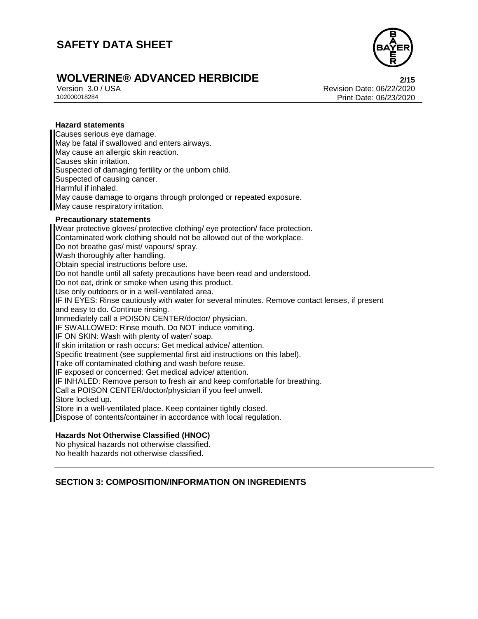

# **WOLVERINE® ADVANCED HERBICIDE**<br>
Version 3.0/USA<br>
Revision Date: 06/22/2020

Version 3.0 / USA Revision Date: 06/22/2020<br>102000018284<br>Print Date: 06/23/2020 Print Date: 06/23/2020

#### **Hazard statements**

Causes serious eye damage. May be fatal if swallowed and enters airways. May cause an allergic skin reaction. Causes skin irritation. Suspected of damaging fertility or the unborn child. Suspected of causing cancer. Harmful if inhaled. May cause damage to organs through prolonged or repeated exposure. May cause respiratory irritation.

#### **Precautionary statements**

Wear protective gloves/ protective clothing/ eye protection/ face protection. Contaminated work clothing should not be allowed out of the workplace. Do not breathe gas/ mist/ vapours/ spray. Wash thoroughly after handling. Obtain special instructions before use. Do not handle until all safety precautions have been read and understood. Do not eat, drink or smoke when using this product. Use only outdoors or in a well-ventilated area. IF IN EYES: Rinse cautiously with water for several minutes. Remove contact lenses, if present and easy to do. Continue rinsing. Immediately call a POISON CENTER/doctor/ physician. IF SWALLOWED: Rinse mouth. Do NOT induce vomiting. IF ON SKIN: Wash with plenty of water/ soap. If skin irritation or rash occurs: Get medical advice/ attention. Specific treatment (see supplemental first aid instructions on this label). Take off contaminated clothing and wash before reuse. IF exposed or concerned: Get medical advice/ attention. IF INHALED: Remove person to fresh air and keep comfortable for breathing. Call a POISON CENTER/doctor/physician if you feel unwell. Store locked up. Store in a well-ventilated place. Keep container tightly closed. Dispose of contents/container in accordance with local regulation.

#### **Hazards Not Otherwise Classified (HNOC)**

No physical hazards not otherwise classified. No health hazards not otherwise classified.

#### **SECTION 3: COMPOSITION/INFORMATION ON INGREDIENTS**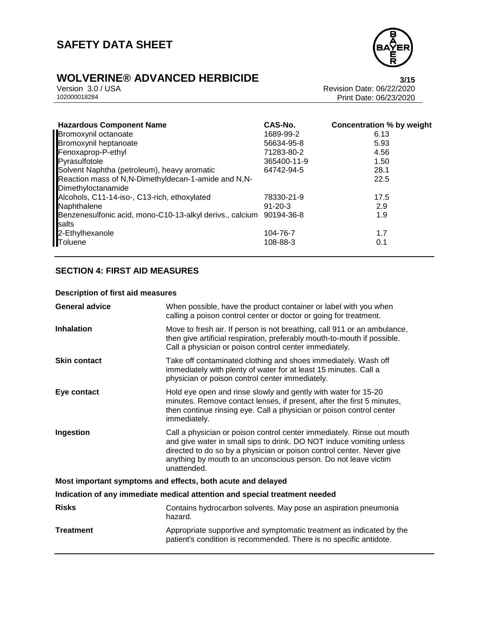

# **WOLVERINE® ADVANCED HERBICIDE**<br>Version 3.0 / USA **Presigne 3.0** / USA **Revision Date: 06/22/2020**

Version 3.0 / USA Revision Date: 06/22/2020<br>102000018284<br>Print Date: 06/23/2020 Print Date: 06/23/2020

| <b>Hazardous Component Name</b>                                              | CAS-No.       | <b>Concentration % by weight</b> |
|------------------------------------------------------------------------------|---------------|----------------------------------|
| Bromoxynil octanoate                                                         | 1689-99-2     | 6.13                             |
| Bromoxynil heptanoate                                                        | 56634-95-8    | 5.93                             |
| Fenoxaprop-P-ethyl                                                           | 71283-80-2    | 4.56                             |
| Pyrasulfotole                                                                | 365400-11-9   | 1.50                             |
| Solvent Naphtha (petroleum), heavy aromatic                                  | 64742-94-5    | 28.1                             |
| Reaction mass of N,N-Dimethyldecan-1-amide and N,N-<br>Dimethyloctanamide    |               | 22.5                             |
| Alcohols, C11-14-iso-, C13-rich, ethoxylated                                 | 78330-21-9    | 17.5                             |
| Naphthalene                                                                  | $91 - 20 - 3$ | 2.9                              |
| Benzenesulfonic acid, mono-C10-13-alkyl derivs., calcium 90194-36-8<br>salts |               | 1.9                              |
| 2-Ethylhexanole                                                              | 104-76-7      | 1.7                              |
| Toluene                                                                      | 108-88-3      | 0.1                              |
|                                                                              |               |                                  |

#### **SECTION 4: FIRST AID MEASURES**

#### **Description of first aid measures**

| <b>General advice</b> | When possible, have the product container or label with you when<br>calling a poison control center or doctor or going for treatment.                                                                                                                                                                     |
|-----------------------|-----------------------------------------------------------------------------------------------------------------------------------------------------------------------------------------------------------------------------------------------------------------------------------------------------------|
| <b>Inhalation</b>     | Move to fresh air. If person is not breathing, call 911 or an ambulance,<br>then give artificial respiration, preferably mouth-to-mouth if possible.<br>Call a physician or poison control center immediately.                                                                                            |
| <b>Skin contact</b>   | Take off contaminated clothing and shoes immediately. Wash off<br>immediately with plenty of water for at least 15 minutes. Call a<br>physician or poison control center immediately.                                                                                                                     |
| Eye contact           | Hold eye open and rinse slowly and gently with water for 15-20<br>minutes. Remove contact lenses, if present, after the first 5 minutes,<br>then continue rinsing eye. Call a physician or poison control center<br>immediately.                                                                          |
| Ingestion             | Call a physician or poison control center immediately. Rinse out mouth<br>and give water in small sips to drink. DO NOT induce vomiting unless<br>directed to do so by a physician or poison control center. Never give<br>anything by mouth to an unconscious person. Do not leave victim<br>unattended. |
|                       | Most important symptoms and effects, both acute and delayed                                                                                                                                                                                                                                               |
|                       | Indication of any immediate medical attention and special treatment needed                                                                                                                                                                                                                                |
| <b>Risks</b>          | Contains hydrocarbon solvents. May pose an aspiration pneumonia<br>hazard.                                                                                                                                                                                                                                |
| <b>Treatment</b>      | Appropriate supportive and symptomatic treatment as indicated by the<br>patient's condition is recommended. There is no specific antidote.                                                                                                                                                                |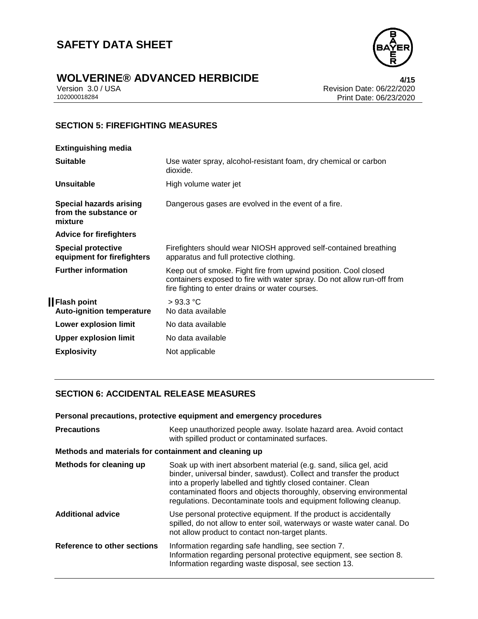

# **WOLVERINE® ADVANCED HERBICIDE**<br>Version 3.0 / USA *All***<sub>15</sub>**<br>Revision Date: 06/22/2020

Version 3.0 / USA Revision Date: 06/22/2020<br>102000018284<br>Print Date: 06/23/2020 Print Date: 06/23/2020

### **SECTION 5: FIREFIGHTING MEASURES**

| <b>Extinguishing media</b>                                         |                                                                                                                                                                                              |
|--------------------------------------------------------------------|----------------------------------------------------------------------------------------------------------------------------------------------------------------------------------------------|
| <b>Suitable</b>                                                    | Use water spray, alcohol-resistant foam, dry chemical or carbon<br>dioxide.                                                                                                                  |
| Unsuitable                                                         | High volume water jet                                                                                                                                                                        |
| <b>Special hazards arising</b><br>from the substance or<br>mixture | Dangerous gases are evolved in the event of a fire.                                                                                                                                          |
| <b>Advice for firefighters</b>                                     |                                                                                                                                                                                              |
| <b>Special protective</b><br>equipment for firefighters            | Firefighters should wear NIOSH approved self-contained breathing<br>apparatus and full protective clothing.                                                                                  |
| <b>Further information</b>                                         | Keep out of smoke. Fight fire from upwind position. Cool closed<br>containers exposed to fire with water spray. Do not allow run-off from<br>fire fighting to enter drains or water courses. |
| <b>I</b> Flash point<br><b>Auto-ignition temperature</b>           | >93.3 °C<br>No data available                                                                                                                                                                |
| Lower explosion limit                                              | No data available                                                                                                                                                                            |
| Upper explosion limit                                              | No data available                                                                                                                                                                            |
| <b>Explosivity</b>                                                 | Not applicable                                                                                                                                                                               |
|                                                                    |                                                                                                                                                                                              |

#### **SECTION 6: ACCIDENTAL RELEASE MEASURES**

**Personal precautions, protective equipment and emergency procedures**

| <b>Precautions</b>                                    | Keep unauthorized people away. Isolate hazard area. Avoid contact<br>with spilled product or contaminated surfaces.                                                                                                                                                                                                                                    |
|-------------------------------------------------------|--------------------------------------------------------------------------------------------------------------------------------------------------------------------------------------------------------------------------------------------------------------------------------------------------------------------------------------------------------|
| Methods and materials for containment and cleaning up |                                                                                                                                                                                                                                                                                                                                                        |
| Methods for cleaning up                               | Soak up with inert absorbent material (e.g. sand, silica gel, acid<br>binder, universal binder, sawdust). Collect and transfer the product<br>into a properly labelled and tightly closed container. Clean<br>contaminated floors and objects thoroughly, observing environmental<br>regulations. Decontaminate tools and equipment following cleanup. |
| <b>Additional advice</b>                              | Use personal protective equipment. If the product is accidentally<br>spilled, do not allow to enter soil, waterways or waste water canal. Do<br>not allow product to contact non-target plants.                                                                                                                                                        |
| Reference to other sections                           | Information regarding safe handling, see section 7.<br>Information regarding personal protective equipment, see section 8.<br>Information regarding waste disposal, see section 13.                                                                                                                                                                    |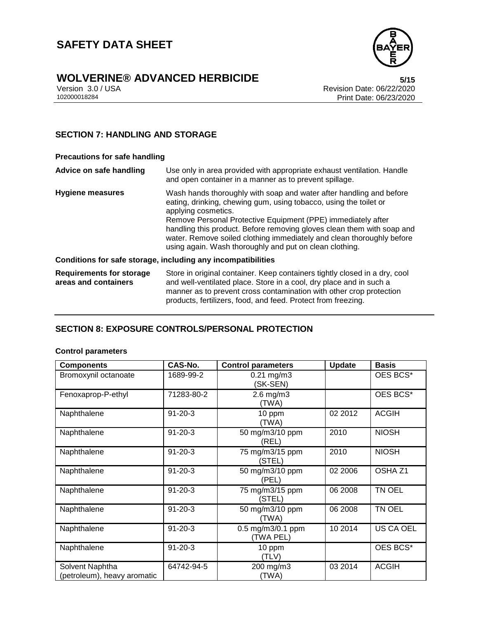

# **WOLVERINE® ADVANCED HERBICIDE**<br>Version 3.0 / USA **by Careford Revision Date: 06/22/2020**

Version 3.0 / USA Revision Date: 06/22/2020<br>102000018284<br>Print Date: 06/23/2020 Print Date: 06/23/2020

#### **SECTION 7: HANDLING AND STORAGE**

#### **Precautions for safe handling**

| Advice on safe handling                                 | Use only in area provided with appropriate exhaust ventilation. Handle<br>and open container in a manner as to prevent spillage.                                                                                                                                                                                                                                                                                                              |
|---------------------------------------------------------|-----------------------------------------------------------------------------------------------------------------------------------------------------------------------------------------------------------------------------------------------------------------------------------------------------------------------------------------------------------------------------------------------------------------------------------------------|
| <b>Hygiene measures</b>                                 | Wash hands thoroughly with soap and water after handling and before<br>eating, drinking, chewing gum, using tobacco, using the toilet or<br>applying cosmetics.<br>Remove Personal Protective Equipment (PPE) immediately after<br>handling this product. Before removing gloves clean them with soap and<br>water. Remove soiled clothing immediately and clean thoroughly before<br>using again. Wash thoroughly and put on clean clothing. |
|                                                         | Conditions for safe storage, including any incompatibilities                                                                                                                                                                                                                                                                                                                                                                                  |
| <b>Requirements for storage</b><br>areas and containers | Store in original container. Keep containers tightly closed in a dry, cool<br>and well-ventilated place. Store in a cool, dry place and in such a<br>manner as to prevent cross contamination with other crop protection<br>products, fertilizers, food, and feed. Protect from freezing.                                                                                                                                                     |

#### **SECTION 8: EXPOSURE CONTROLS/PERSONAL PROTECTION**

#### **Control parameters**

| <b>Components</b>                              | CAS-No.       | <b>Control parameters</b>      | <b>Update</b> | <b>Basis</b>       |
|------------------------------------------------|---------------|--------------------------------|---------------|--------------------|
| Bromoxynil octanoate                           | 1689-99-2     | $0.21$ mg/m $3$<br>(SK-SEN)    |               | OES BCS*           |
| Fenoxaprop-P-ethyl                             | 71283-80-2    | $2.6$ mg/m $3$<br>(TWA)        |               | OES BCS*           |
| Naphthalene                                    | $91 - 20 - 3$ | 10 ppm<br>(TWA)                | 02 2012       | <b>ACGIH</b>       |
| Naphthalene                                    | $91 - 20 - 3$ | 50 mg/m3/10 ppm<br>(REL)       | 2010          | <b>NIOSH</b>       |
| Naphthalene                                    | $91 - 20 - 3$ | 75 mg/m3/15 ppm<br>(STEL)      | 2010          | <b>NIOSH</b>       |
| Naphthalene                                    | $91 - 20 - 3$ | 50 mg/m3/10 ppm<br>(PEL)       | 02 2006       | OSHA <sub>Z1</sub> |
| Naphthalene                                    | $91 - 20 - 3$ | 75 mg/m3/15 ppm<br>(STEL)      | 06 2008       | TN OEL             |
| Naphthalene                                    | $91 - 20 - 3$ | 50 mg/m3/10 ppm<br>(TWA)       | 06 2008       | TN OEL             |
| Naphthalene                                    | $91 - 20 - 3$ | 0.5 mg/m3/0.1 ppm<br>(TWA PEL) | 10 2014       | US CA OEL          |
| Naphthalene                                    | $91 - 20 - 3$ | 10 ppm<br>(TLV)                |               | OES BCS*           |
| Solvent Naphtha<br>(petroleum), heavy aromatic | 64742-94-5    | 200 mg/m3<br>(TWA)             | 03 2014       | <b>ACGIH</b>       |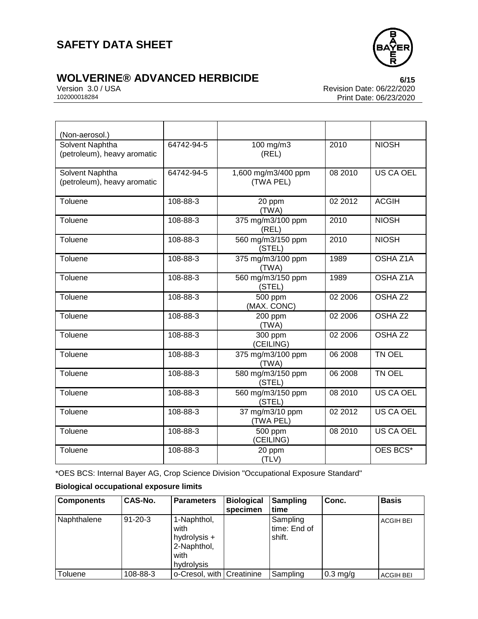

# **WOLVERINE® ADVANCED HERBICIDE**<br>Version 3.0 / USA *CONCRET CONCRET Revision Date:* 06/22/2020

Version 3.0 / USA Revision Date: 06/22/2020<br>102000018284<br>Print Date: 06/23/2020 Print Date: 06/23/2020

| (Non-aerosol.)                                 |            |                                  |         |                    |
|------------------------------------------------|------------|----------------------------------|---------|--------------------|
| Solvent Naphtha<br>(petroleum), heavy aromatic | 64742-94-5 | 100 mg/m3<br>(REL)               | 2010    | <b>NIOSH</b>       |
| Solvent Naphtha<br>(petroleum), heavy aromatic | 64742-94-5 | 1,600 mg/m3/400 ppm<br>(TWA PEL) | 08 2010 | <b>US CA OEL</b>   |
| Toluene                                        | 108-88-3   | 20 ppm<br>(TWA)                  | 02 2012 | <b>ACGIH</b>       |
| Toluene                                        | 108-88-3   | 375 mg/m3/100 ppm<br>(REL)       | 2010    | <b>NIOSH</b>       |
| Toluene                                        | 108-88-3   | 560 mg/m3/150 ppm<br>(STEL)      | 2010    | <b>NIOSH</b>       |
| Toluene                                        | 108-88-3   | 375 mg/m3/100 ppm<br>(TWA)       | 1989    | OSHA Z1A           |
| Toluene                                        | 108-88-3   | 560 mg/m3/150 ppm<br>(STEL)      | 1989    | OSHA Z1A           |
| Toluene                                        | 108-88-3   | 500 ppm<br>(MAX. CONC)           | 02 2006 | OSHA <sub>Z2</sub> |
| Toluene                                        | 108-88-3   | 200 ppm<br>(TWA)                 | 02 2006 | OSHA <sub>Z2</sub> |
| Toluene                                        | 108-88-3   | 300 ppm<br>(CEILING)             | 02 2006 | OSHA <sub>Z2</sub> |
| Toluene                                        | 108-88-3   | 375 mg/m3/100 ppm<br>(TWA)       | 06 2008 | TN OEL             |
| Toluene                                        | 108-88-3   | 580 mg/m3/150 ppm<br>(STEL)      | 06 2008 | TN OEL             |
| Toluene                                        | 108-88-3   | 560 mg/m3/150 ppm<br>(STEL)      | 08 2010 | <b>US CA OEL</b>   |
| Toluene                                        | 108-88-3   | 37 mg/m3/10 ppm<br>(TWA PEL)     | 02 2012 | <b>US CA OEL</b>   |
| Toluene                                        | 108-88-3   | 500 ppm<br>(CEILING)             | 08 2010 | <b>US CA OEL</b>   |
| Toluene                                        | 108-88-3   | 20 ppm<br>(TLV)                  |         | OES BCS*           |

\*OES BCS: Internal Bayer AG, Crop Science Division "Occupational Exposure Standard"

### **Biological occupational exposure limits**

| <b>Components</b> | CAS-No.       | <b>Parameters</b>                                                        | <b>Biological</b><br>specimen | <b>Sampling</b><br>ltime           | Conc.      | <b>Basis</b>     |
|-------------------|---------------|--------------------------------------------------------------------------|-------------------------------|------------------------------------|------------|------------------|
| Naphthalene       | $91 - 20 - 3$ | 1-Naphthol,<br>with<br>hydrolysis +<br>2-Naphthol,<br>with<br>hydrolysis |                               | Sampling<br>time: End of<br>shift. |            | <b>ACGIH BEI</b> |
| Toluene           | 108-88-3      | o-Cresol, with Creatinine                                                |                               | Sampling                           | $0.3$ mg/g | <b>ACGIH BEI</b> |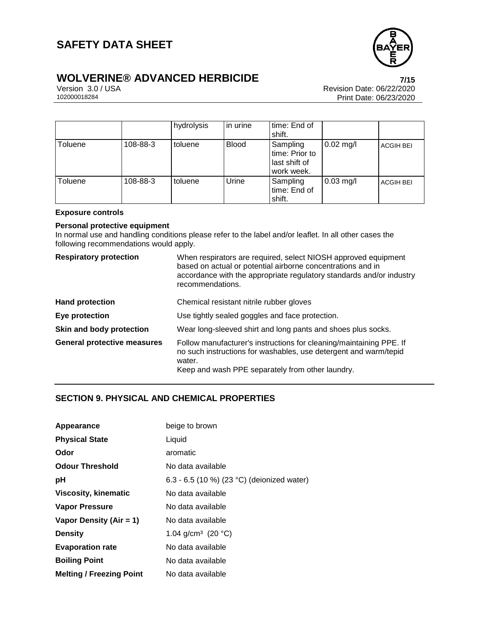

# **WOLVERINE® ADVANCED HERBICIDE**<br>Version 3.0 / USA **Presion 3.0 / USA**

Version 3.0 / USA Revision Date: 06/22/2020<br>102000018284<br>Print Date: 06/23/2020 Print Date: 06/23/2020

|         |          | hydrolysis | in urine     | time: End of<br>shift.                                    |                     |                  |
|---------|----------|------------|--------------|-----------------------------------------------------------|---------------------|------------------|
| Toluene | 108-88-3 | toluene    | <b>Blood</b> | Sampling<br>time: Prior to<br>last shift of<br>work week. | $0.02$ mg/l         | <b>ACGIH BEI</b> |
| Toluene | 108-88-3 | toluene    | Urine        | Sampling<br>time: End of<br>shift.                        | $0.03 \text{ mg/l}$ | <b>ACGIH BEI</b> |

#### **Exposure controls**

#### **Personal protective equipment**

In normal use and handling conditions please refer to the label and/or leaflet. In all other cases the following recommendations would apply.

| <b>Respiratory protection</b>      | When respirators are required, select NIOSH approved equipment<br>based on actual or potential airborne concentrations and in<br>accordance with the appropriate regulatory standards and/or industry<br>recommendations. |
|------------------------------------|---------------------------------------------------------------------------------------------------------------------------------------------------------------------------------------------------------------------------|
| <b>Hand protection</b>             | Chemical resistant nitrile rubber gloves                                                                                                                                                                                  |
| Eye protection                     | Use tightly sealed goggles and face protection.                                                                                                                                                                           |
| Skin and body protection           | Wear long-sleeved shirt and long pants and shoes plus socks.                                                                                                                                                              |
| <b>General protective measures</b> | Follow manufacturer's instructions for cleaning/maintaining PPE. If<br>no such instructions for washables, use detergent and warm/tepid<br>water.<br>Keep and wash PPE separately from other laundry.                     |

#### **SECTION 9. PHYSICAL AND CHEMICAL PROPERTIES**

| Appearance                      | beige to brown                             |
|---------------------------------|--------------------------------------------|
| <b>Physical State</b>           | Liquid                                     |
| Odor                            | aromatic                                   |
| <b>Odour Threshold</b>          | No data available                          |
| рH                              | 6.3 - 6.5 (10 %) (23 °C) (deionized water) |
| <b>Viscosity, kinematic</b>     | No data available                          |
| Vapor Pressure                  | No data available                          |
| Vapor Density (Air = 1)         | No data available                          |
| <b>Density</b>                  | 1.04 g/cm <sup>3</sup> (20 °C)             |
| <b>Evaporation rate</b>         | No data available                          |
| <b>Boiling Point</b>            | No data available                          |
| <b>Melting / Freezing Point</b> | No data available                          |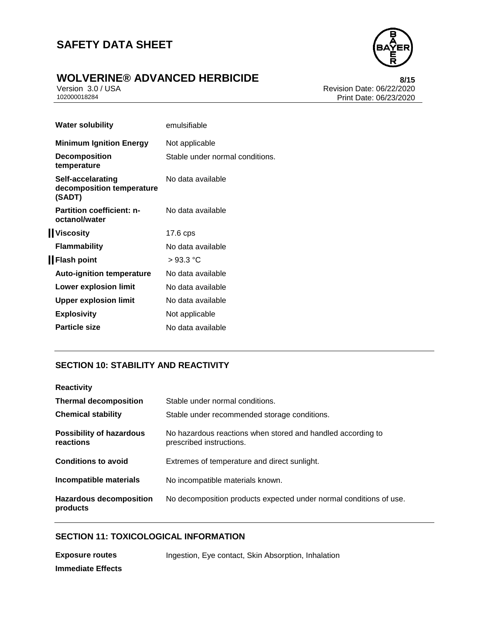

# **WOLVERINE® ADVANCED HERBICIDE**<br>Version 3.0 / USA **by Careford Revision Date: 06/22/2020**

Version 3.0 / USA Revision Date: 06/22/2020<br>102000018284<br>Print Date: 06/23/2020 Print Date: 06/23/2020

| <b>Water solubility</b>                                  | emulsifiable                    |
|----------------------------------------------------------|---------------------------------|
| <b>Minimum Ignition Energy</b>                           | Not applicable                  |
| <b>Decomposition</b><br>temperature                      | Stable under normal conditions. |
| Self-accelarating<br>decomposition temperature<br>(SADT) | No data available               |
| <b>Partition coefficient: n-</b><br>octanol/water        | No data available               |
| <b>IViscosity</b>                                        | 17.6 cps                        |
| <b>Flammability</b>                                      | No data available               |
| <b>I</b> Flash point                                     | >93.3 °C                        |
| <b>Auto-ignition temperature</b>                         | No data available               |
| Lower explosion limit                                    | No data available               |
| <b>Upper explosion limit</b>                             | No data available               |
| <b>Explosivity</b>                                       | Not applicable                  |
| <b>Particle size</b>                                     | No data available               |

#### **SECTION 10: STABILITY AND REACTIVITY**

| <b>Reactivity</b>                            |                                                                                         |
|----------------------------------------------|-----------------------------------------------------------------------------------------|
| <b>Thermal decomposition</b>                 | Stable under normal conditions.                                                         |
| <b>Chemical stability</b>                    | Stable under recommended storage conditions.                                            |
| <b>Possibility of hazardous</b><br>reactions | No hazardous reactions when stored and handled according to<br>prescribed instructions. |
| <b>Conditions to avoid</b>                   | Extremes of temperature and direct sunlight.                                            |
| Incompatible materials                       | No incompatible materials known.                                                        |
| <b>Hazardous decomposition</b><br>products   | No decomposition products expected under normal conditions of use.                      |

#### **SECTION 11: TOXICOLOGICAL INFORMATION**

**Exposure routes** Ingestion, Eye contact, Skin Absorption, Inhalation **Immediate Effects**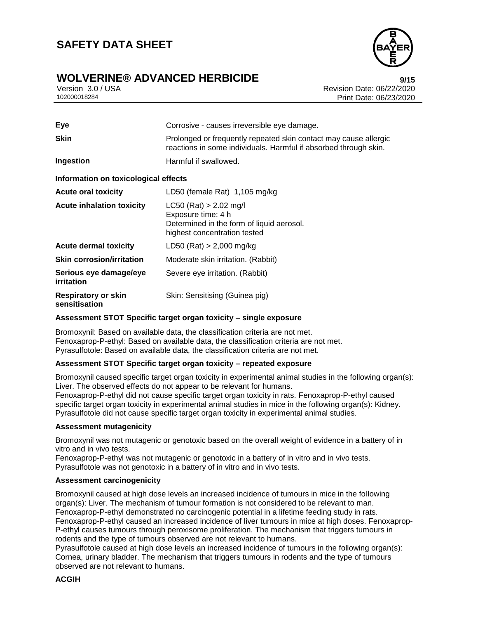### **WOLVERINE® ADVANCED HERBICIDE 9/15**

Version 3.0 / USA Revision Date: 06/22/2020<br>102000018284<br>Revision Date: 06/23/2020 Print Date: 06/23/2020

| Eye                                  | Corrosive - causes irreversible eye damage.                                                                                          |
|--------------------------------------|--------------------------------------------------------------------------------------------------------------------------------------|
| <b>Skin</b>                          | Prolonged or frequently repeated skin contact may cause allergic<br>reactions in some individuals. Harmful if absorbed through skin. |
| Ingestion                            | Harmful if swallowed.                                                                                                                |
| Information on toxicological effects |                                                                                                                                      |
| <b>Acute oral toxicity</b>           | LD50 (female Rat) 1,105 mg/kg                                                                                                        |
| <b>Acute inhalation toxicity</b>     | LC50 (Rat) > 2.02 mg/l<br>Exposure time: 4 h<br>Determined in the form of liquid aerosol.<br>highest concentration tested            |
| <b>Acute dermal toxicity</b>         | LD50 (Rat) > 2,000 mg/kg                                                                                                             |
| <b>Skin corrosion/irritation</b>     | Moderate skin irritation. (Rabbit)                                                                                                   |
| Serious eye damage/eye<br>irritation | Severe eye irritation. (Rabbit)                                                                                                      |
| Respiratory or skin<br>sensitisation | Skin: Sensitising (Guinea pig)                                                                                                       |

#### **Assessment STOT Specific target organ toxicity – single exposure**

Bromoxynil: Based on available data, the classification criteria are not met. Fenoxaprop-P-ethyl: Based on available data, the classification criteria are not met. Pyrasulfotole: Based on available data, the classification criteria are not met.

#### **Assessment STOT Specific target organ toxicity – repeated exposure**

Bromoxynil caused specific target organ toxicity in experimental animal studies in the following organ(s): Liver. The observed effects do not appear to be relevant for humans.

Fenoxaprop-P-ethyl did not cause specific target organ toxicity in rats. Fenoxaprop-P-ethyl caused specific target organ toxicity in experimental animal studies in mice in the following organ(s): Kidney. Pyrasulfotole did not cause specific target organ toxicity in experimental animal studies.

#### **Assessment mutagenicity**

Bromoxynil was not mutagenic or genotoxic based on the overall weight of evidence in a battery of in vitro and in vivo tests.

Fenoxaprop-P-ethyl was not mutagenic or genotoxic in a battery of in vitro and in vivo tests. Pyrasulfotole was not genotoxic in a battery of in vitro and in vivo tests.

#### **Assessment carcinogenicity**

Bromoxynil caused at high dose levels an increased incidence of tumours in mice in the following organ(s): Liver. The mechanism of tumour formation is not considered to be relevant to man. Fenoxaprop-P-ethyl demonstrated no carcinogenic potential in a lifetime feeding study in rats. Fenoxaprop-P-ethyl caused an increased incidence of liver tumours in mice at high doses. Fenoxaprop-P-ethyl causes tumours through peroxisome proliferation. The mechanism that triggers tumours in rodents and the type of tumours observed are not relevant to humans.

Pyrasulfotole caused at high dose levels an increased incidence of tumours in the following organ(s): Cornea, urinary bladder. The mechanism that triggers tumours in rodents and the type of tumours observed are not relevant to humans.

#### **ACGIH**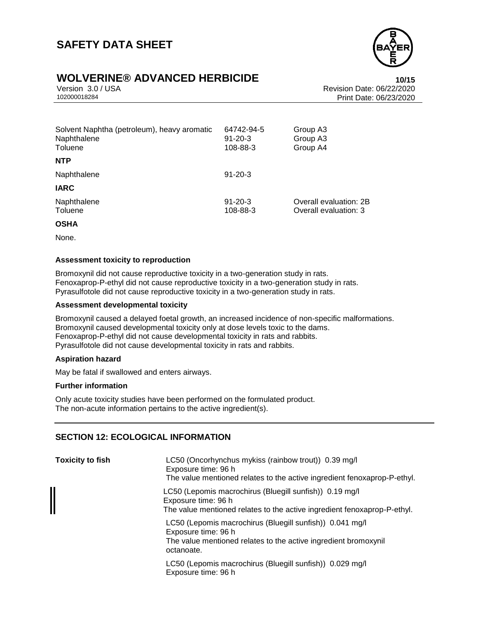

### **WOLVERINE® ADVANCED HERBICIDE 10/15**

Version 3.0 / USA Revision Date: 06/22/2020 Print Date: 06/23/2020

| 64742-94-5<br>$91 - 20 - 3$<br>108-88-3 | Group A3<br>Group A3<br>Group A4                |
|-----------------------------------------|-------------------------------------------------|
|                                         |                                                 |
| $91 - 20 - 3$                           |                                                 |
|                                         |                                                 |
| $91 - 20 - 3$<br>108-88-3               | Overall evaluation: 2B<br>Overall evaluation: 3 |
|                                         |                                                 |

#### **OSHA**

None.

#### **Assessment toxicity to reproduction**

Bromoxynil did not cause reproductive toxicity in a two-generation study in rats. Fenoxaprop-P-ethyl did not cause reproductive toxicity in a two-generation study in rats. Pyrasulfotole did not cause reproductive toxicity in a two-generation study in rats.

#### **Assessment developmental toxicity**

Bromoxynil caused a delayed foetal growth, an increased incidence of non-specific malformations. Bromoxynil caused developmental toxicity only at dose levels toxic to the dams. Fenoxaprop-P-ethyl did not cause developmental toxicity in rats and rabbits. Pyrasulfotole did not cause developmental toxicity in rats and rabbits.

#### **Aspiration hazard**

May be fatal if swallowed and enters airways.

#### **Further information**

Only acute toxicity studies have been performed on the formulated product. The non-acute information pertains to the active ingredient(s).

#### **SECTION 12: ECOLOGICAL INFORMATION**

| <b>Toxicity to fish</b> | LC50 (Oncorhynchus mykiss (rainbow trout)) 0.39 mg/l<br>Exposure time: 96 h<br>The value mentioned relates to the active ingredient fenoxaprop-P-ethyl.          |
|-------------------------|------------------------------------------------------------------------------------------------------------------------------------------------------------------|
|                         | LC50 (Lepomis macrochirus (Bluegill sunfish)) 0.19 mg/l<br>Exposure time: 96 h<br>The value mentioned relates to the active ingredient fenoxaprop-P-ethyl.       |
|                         | LC50 (Lepomis macrochirus (Bluegill sunfish)) 0.041 mg/l<br>Exposure time: 96 h<br>The value mentioned relates to the active ingredient bromoxynil<br>octanoate. |
|                         | LC50 (Lepomis macrochirus (Bluegill sunfish)) 0.029 mg/l<br>Exposure time: 96 h                                                                                  |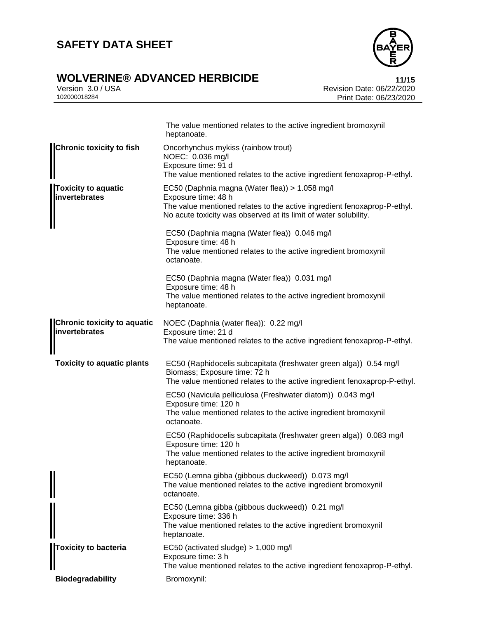

# **WOLVERINE® ADVANCED HERBICIDE**<br>Version 3.0 / USA **Presigne 3.0** / USA

Version 3.0 / USA Revision Date: 06/22/2020<br>102000018284<br>Print Date: 06/23/2020 Print Date: 06/23/2020

|                                                            | The value mentioned relates to the active ingredient bromoxynil<br>heptanoate.                                                                                                                                        |
|------------------------------------------------------------|-----------------------------------------------------------------------------------------------------------------------------------------------------------------------------------------------------------------------|
| <b>Chronic toxicity to fish</b>                            | Oncorhynchus mykiss (rainbow trout)<br>NOEC: 0.036 mg/l<br>Exposure time: 91 d<br>The value mentioned relates to the active ingredient fenoxaprop-P-ethyl.                                                            |
| Toxicity to aquatic<br>invertebrates                       | EC50 (Daphnia magna (Water flea)) > 1.058 mg/l<br>Exposure time: 48 h<br>The value mentioned relates to the active ingredient fenoxaprop-P-ethyl.<br>No acute toxicity was observed at its limit of water solubility. |
|                                                            | EC50 (Daphnia magna (Water flea)) 0.046 mg/l<br>Exposure time: 48 h<br>The value mentioned relates to the active ingredient bromoxynil<br>octanoate.                                                                  |
|                                                            | EC50 (Daphnia magna (Water flea)) 0.031 mg/l<br>Exposure time: 48 h<br>The value mentioned relates to the active ingredient bromoxynil<br>heptanoate.                                                                 |
| <b>Chronic toxicity to aquatic</b><br><i>invertebrates</i> | NOEC (Daphnia (water flea)): 0.22 mg/l<br>Exposure time: 21 d<br>The value mentioned relates to the active ingredient fenoxaprop-P-ethyl.                                                                             |
|                                                            |                                                                                                                                                                                                                       |
| <b>Toxicity to aquatic plants</b>                          | EC50 (Raphidocelis subcapitata (freshwater green alga)) 0.54 mg/l<br>Biomass; Exposure time: 72 h<br>The value mentioned relates to the active ingredient fenoxaprop-P-ethyl.                                         |
|                                                            | EC50 (Navicula pelliculosa (Freshwater diatom)) 0.043 mg/l<br>Exposure time: 120 h<br>The value mentioned relates to the active ingredient bromoxynil<br>octanoate.                                                   |
|                                                            | EC50 (Raphidocelis subcapitata (freshwater green alga)) 0.083 mg/l<br>Exposure time: 120 h<br>The value mentioned relates to the active ingredient bromoxynil<br>heptanoate.                                          |
|                                                            | EC50 (Lemna gibba (gibbous duckweed)) 0.073 mg/l<br>The value mentioned relates to the active ingredient bromoxynil<br>octanoate.                                                                                     |
|                                                            | EC50 (Lemna gibba (gibbous duckweed)) 0.21 mg/l<br>Exposure time: 336 h<br>The value mentioned relates to the active ingredient bromoxynil<br>heptanoate.                                                             |
| <b>Toxicity to bacteria</b>                                | EC50 (activated sludge) > 1,000 mg/l<br>Exposure time: 3 h<br>The value mentioned relates to the active ingredient fenoxaprop-P-ethyl.                                                                                |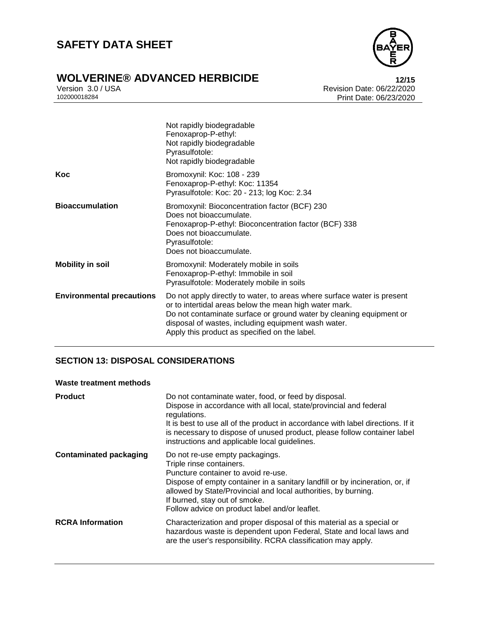

# **WOLVERINE® ADVANCED HERBICIDE**<br>Version 3.0 / USA **12/15**<br>Revision Date: 06/22/2020

Version 3.0 / USA Revision Date: 06/22/2020<br>102000018284<br>Print Date: 06/23/2020 Print Date: 06/23/2020

|                                  | Not rapidly biodegradable<br>Fenoxaprop-P-ethyl:<br>Not rapidly biodegradable<br>Pyrasulfotole:<br>Not rapidly biodegradable                                                                                                                                                                                     |
|----------------------------------|------------------------------------------------------------------------------------------------------------------------------------------------------------------------------------------------------------------------------------------------------------------------------------------------------------------|
| Koc                              | Bromoxynil: Koc: 108 - 239<br>Fenoxaprop-P-ethyl: Koc: 11354<br>Pyrasulfotole: Koc: 20 - 213; log Koc: 2.34                                                                                                                                                                                                      |
| <b>Bioaccumulation</b>           | Bromoxynil: Bioconcentration factor (BCF) 230<br>Does not bioaccumulate.<br>Fenoxaprop-P-ethyl: Bioconcentration factor (BCF) 338<br>Does not bioaccumulate.<br>Pyrasulfotole:<br>Does not bioaccumulate.                                                                                                        |
| <b>Mobility in soil</b>          | Bromoxynil: Moderately mobile in soils<br>Fenoxaprop-P-ethyl: Immobile in soil<br>Pyrasulfotole: Moderately mobile in soils                                                                                                                                                                                      |
| <b>Environmental precautions</b> | Do not apply directly to water, to areas where surface water is present<br>or to intertidal areas below the mean high water mark.<br>Do not contaminate surface or ground water by cleaning equipment or<br>disposal of wastes, including equipment wash water.<br>Apply this product as specified on the label. |

#### **SECTION 13: DISPOSAL CONSIDERATIONS**

#### **Waste treatment methods**

| <b>Product</b>                | Do not contaminate water, food, or feed by disposal.<br>Dispose in accordance with all local, state/provincial and federal<br>regulations.<br>It is best to use all of the product in accordance with label directions. If it<br>is necessary to dispose of unused product, please follow container label<br>instructions and applicable local guidelines. |
|-------------------------------|------------------------------------------------------------------------------------------------------------------------------------------------------------------------------------------------------------------------------------------------------------------------------------------------------------------------------------------------------------|
| <b>Contaminated packaging</b> | Do not re-use empty packagings.<br>Triple rinse containers.<br>Puncture container to avoid re-use.<br>Dispose of empty container in a sanitary landfill or by incineration, or, if<br>allowed by State/Provincial and local authorities, by burning.<br>If burned, stay out of smoke.<br>Follow advice on product label and/or leaflet.                    |
| <b>RCRA Information</b>       | Characterization and proper disposal of this material as a special or<br>hazardous waste is dependent upon Federal, State and local laws and<br>are the user's responsibility. RCRA classification may apply.                                                                                                                                              |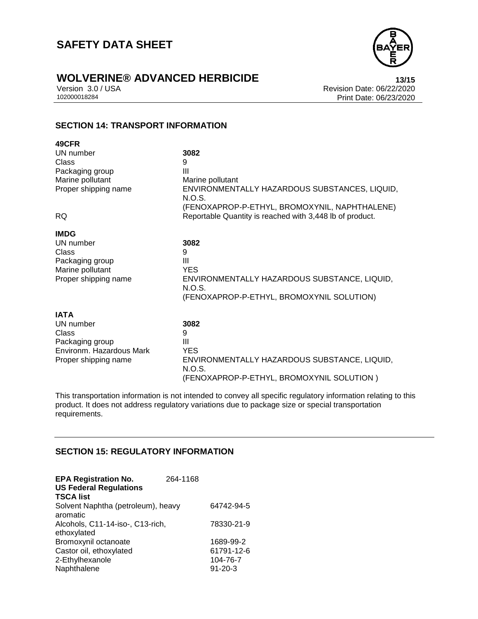

# **WOLVERINE® ADVANCED HERBICIDE**<br>Version 3.0 / USA **13/15**<br>Revision Date: 06/22/2020

Version 3.0 / USA Revision Date: 06/22/2020<br>102000018284<br>Print Date: 06/23/2020 Print Date: 06/23/2020

#### **SECTION 14: TRANSPORT INFORMATION**

| 49CFR                    |                                                          |
|--------------------------|----------------------------------------------------------|
| UN number                | 3082                                                     |
| Class                    | 9                                                        |
| Packaging group          | Ш                                                        |
| Marine pollutant         | Marine pollutant                                         |
| Proper shipping name     | ENVIRONMENTALLY HAZARDOUS SUBSTANCES, LIQUID,<br>N.O.S.  |
|                          | (FENOXAPROP-P-ETHYL, BROMOXYNIL, NAPHTHALENE)            |
| <b>RQ</b>                | Reportable Quantity is reached with 3,448 lb of product. |
| <b>IMDG</b>              |                                                          |
| UN number                | 3082                                                     |
| Class                    | 9                                                        |
| Packaging group          | Ш                                                        |
| Marine pollutant         | <b>YES</b>                                               |
| Proper shipping name     | ENVIRONMENTALLY HAZARDOUS SUBSTANCE, LIQUID,<br>N.O.S.   |
|                          | (FENOXAPROP-P-ETHYL, BROMOXYNIL SOLUTION)                |
|                          |                                                          |
| <b>IATA</b>              |                                                          |
| UN number                | 3082                                                     |
| Class                    | 9                                                        |
| Packaging group          | Ш                                                        |
| Environm. Hazardous Mark | <b>YES</b>                                               |
| Proper shipping name     | ENVIRONMENTALLY HAZARDOUS SUBSTANCE, LIQUID,<br>N.O.S.   |

(FENOXAPROP-P-ETHYL, BROMOXYNIL SOLUTION )

This transportation information is not intended to convey all specific regulatory information relating to this product. It does not address regulatory variations due to package size or special transportation requirements.

#### **SECTION 15: REGULATORY INFORMATION**

| <b>EPA Registration No.</b><br><b>US Federal Regulations</b><br><b>TSCA list</b> | 264-1168 |               |
|----------------------------------------------------------------------------------|----------|---------------|
| Solvent Naphtha (petroleum), heavy                                               |          | 64742-94-5    |
| aromatic                                                                         |          |               |
| Alcohols, C11-14-iso-, C13-rich,                                                 |          | 78330-21-9    |
| ethoxylated                                                                      |          |               |
| Bromoxynil octanoate                                                             |          | 1689-99-2     |
| Castor oil, ethoxylated                                                          |          | 61791-12-6    |
| 2-Ethylhexanole                                                                  |          | 104-76-7      |
| Naphthalene                                                                      |          | $91 - 20 - 3$ |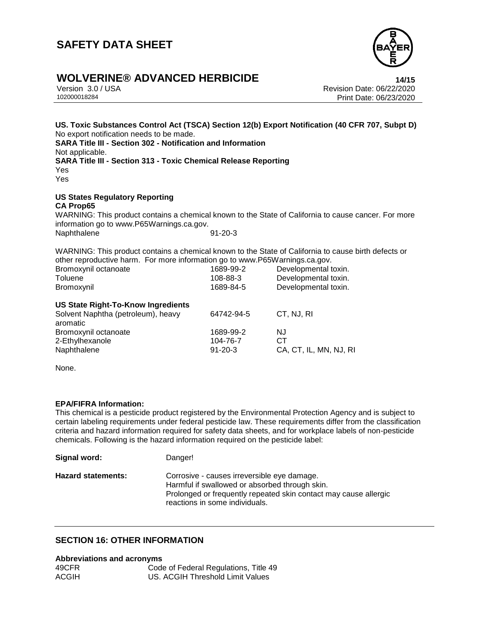

### **WOLVERINE® ADVANCED HERBICIDE 14/15**

Version 3.0 / USA Revision Date: 06/22/2020 Print Date: 06/23/2020

**US. Toxic Substances Control Act (TSCA) Section 12(b) Export Notification (40 CFR 707, Subpt D)** No export notification needs to be made. **SARA Title III - Section 302 - Notification and Information** Not applicable. **SARA Title III - Section 313 - Toxic Chemical Release Reporting** Yes Yes **US States Regulatory Reporting CA Prop65** WARNING: This product contains a chemical known to the State of California to cause cancer. For more information go to www.P65Warnings.ca.gov. Naphthalene 91-20-3

WARNING: This product contains a chemical known to the State of California to cause birth defects or other reproductive harm. For more information go to www.P65Warnings.ca.gov.

| Bromoxynil octanoate                           | 1689-99-2     | Developmental toxin.   |
|------------------------------------------------|---------------|------------------------|
| Toluene                                        | 108-88-3      | Developmental toxin.   |
| Bromoxynil                                     | 1689-84-5     | Developmental toxin.   |
| <b>US State Right-To-Know Ingredients</b>      |               |                        |
| Solvent Naphtha (petroleum), heavy<br>aromatic | 64742-94-5    | CT, NJ, RI             |
| Bromoxynil octanoate                           | 1689-99-2     | NJ.                    |
| 2-Ethylhexanole                                | 104-76-7      | СT                     |
| Naphthalene                                    | $91 - 20 - 3$ | CA, CT, IL, MN, NJ, RI |
|                                                |               |                        |

None.

#### **EPA/FIFRA Information:**

This chemical is a pesticide product registered by the Environmental Protection Agency and is subject to certain labeling requirements under federal pesticide law. These requirements differ from the classification criteria and hazard information required for safety data sheets, and for workplace labels of non-pesticide chemicals. Following is the hazard information required on the pesticide label:

| Signal word:              | Danger!                                                                                                                                                                                             |
|---------------------------|-----------------------------------------------------------------------------------------------------------------------------------------------------------------------------------------------------|
| <b>Hazard statements:</b> | Corrosive - causes irreversible eye damage.<br>Harmful if swallowed or absorbed through skin.<br>Prolonged or frequently repeated skin contact may cause allergic<br>reactions in some individuals. |

#### **SECTION 16: OTHER INFORMATION**

#### **Abbreviations and acronyms**

| 49CFR        | Code of Federal Regulations, Title 49 |
|--------------|---------------------------------------|
| <b>ACGIH</b> | US. ACGIH Threshold Limit Values      |